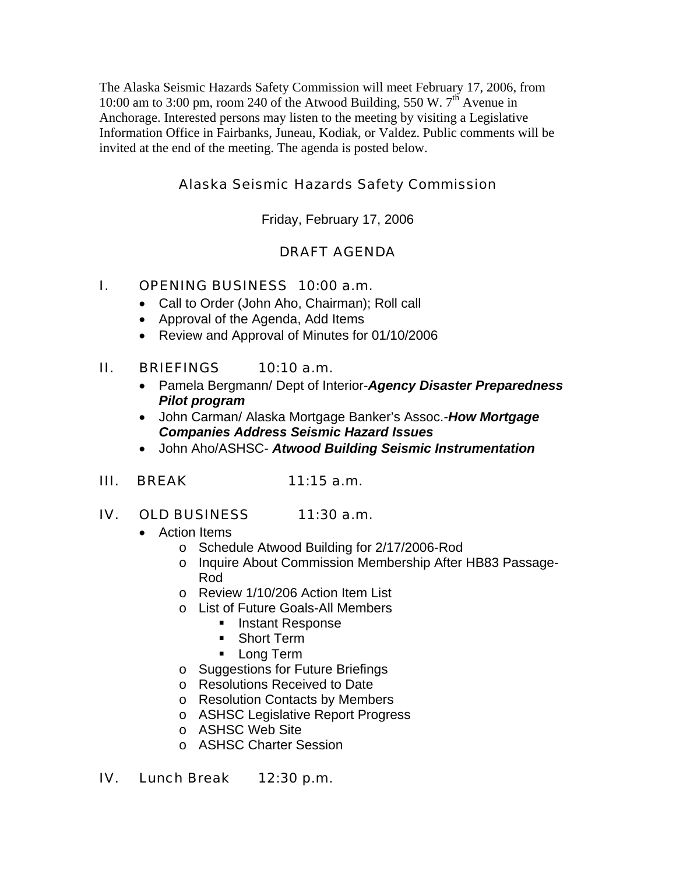The Alaska Seismic Hazards Safety Commission will meet February 17, 2006, from 10:00 am to 3:00 pm, room 240 of the Atwood Building, 550 W.  $7<sup>th</sup>$  Avenue in Anchorage. Interested persons may listen to the meeting by visiting a Legislative Information Office in Fairbanks, Juneau, Kodiak, or Valdez. Public comments will be invited at the end of the meeting. The agenda is posted below.

# Alaska Seismic Hazards Safety Commission

Friday, February 17, 2006

# DRAFT AGENDA

## I. OPENING BUSINESS 10:00 a.m.

- Call to Order (John Aho, Chairman); Roll call
- Approval of the Agenda, Add Items
- Review and Approval of Minutes for 01/10/2006

### II. BRIEFINGS 10:10 a.m.

- Pamela Bergmann/ Dept of Interior-*Agency Disaster Preparedness Pilot program*
- John Carman/ Alaska Mortgage Banker's Assoc.-*How Mortgage Companies Address Seismic Hazard Issues*
- John Aho/ASHSC- *Atwood Building Seismic Instrumentation*

#### III. BREAK 11:15 a.m.

#### IV. OLD BUSINESS 11:30 a.m.

- Action Items
	- o Schedule Atwood Building for 2/17/2006-Rod
	- o Inquire About Commission Membership After HB83 Passage-Rod
	- o Review 1/10/206 Action Item List
	- o List of Future Goals-All Members
		- **Instant Response**
		- **Short Term**
		- **Long Term**
	- o Suggestions for Future Briefings
	- o Resolutions Received to Date
	- o Resolution Contacts by Members
	- o ASHSC Legislative Report Progress
	- o ASHSC Web Site
	- o ASHSC Charter Session

#### IV. Lunch Break 12:30 p.m.